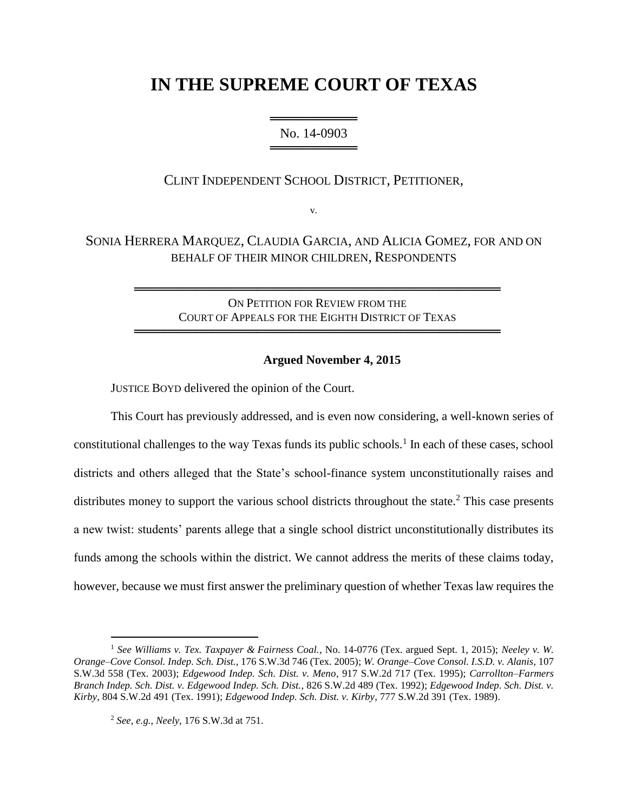# **IN THE SUPREME COURT OF TEXAS**

════════════════════ No. 14-0903 ═══════════════════

CLINT INDEPENDENT SCHOOL DISTRICT, PETITIONER,

v.

SONIA HERRERA MARQUEZ, CLAUDIA GARCIA, AND ALICIA GOMEZ, FOR AND ON BEHALF OF THEIR MINOR CHILDREN, RESPONDENTS

> ON PETITION FOR REVIEW FROM THE COURT OF APPEALS FOR THE EIGHTH DISTRICT OF TEXAS

══════════════════════════════════════════

══════════════════════════════════════════

## **Argued November 4, 2015**

JUSTICE BOYD delivered the opinion of the Court.

This Court has previously addressed, and is even now considering, a well-known series of constitutional challenges to the way Texas funds its public schools.<sup>1</sup> In each of these cases, school districts and others alleged that the State's school-finance system unconstitutionally raises and distributes money to support the various school districts throughout the state.<sup>2</sup> This case presents a new twist: students' parents allege that a single school district unconstitutionally distributes its funds among the schools within the district. We cannot address the merits of these claims today, however, because we must first answer the preliminary question of whether Texas law requires the

 $\ddot{\phantom{a}}$ 

<sup>1</sup> *See Williams v. Tex. Taxpayer & Fairness Coal.*, No. 14-0776 (Tex. argued Sept. 1, 2015); *Neeley v. W. Orange–Cove Consol. Indep. Sch. Dist.*, 176 S.W.3d 746 (Tex. 2005); *W. Orange–Cove Consol. I.S.D. v. Alanis*, 107 S.W.3d 558 (Tex. 2003); *Edgewood Indep. Sch. Dist. v. Meno*, 917 S.W.2d 717 (Tex. 1995); *Carrollton–Farmers Branch Indep. Sch. Dist. v. Edgewood Indep. Sch. Dist.*, 826 S.W.2d 489 (Tex. 1992); *Edgewood Indep. Sch. Dist. v. Kirby*, 804 S.W.2d 491 (Tex. 1991); *Edgewood Indep. Sch. Dist. v. Kirby*, 777 S.W.2d 391 (Tex. 1989).

<sup>2</sup> *See, e.g.*, *Neely*, 176 S.W.3d at 751.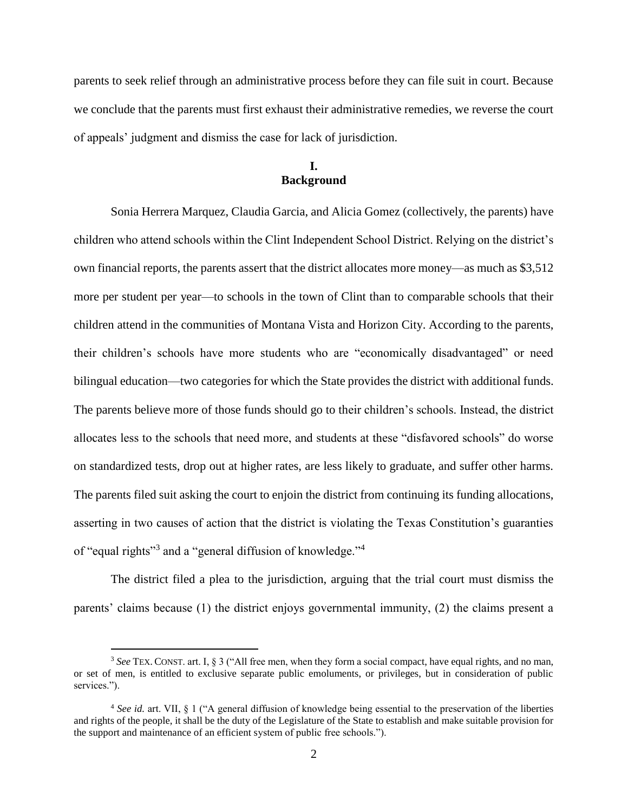parents to seek relief through an administrative process before they can file suit in court. Because we conclude that the parents must first exhaust their administrative remedies, we reverse the court of appeals' judgment and dismiss the case for lack of jurisdiction.

# **I. Background**

Sonia Herrera Marquez, Claudia Garcia, and Alicia Gomez (collectively, the parents) have children who attend schools within the Clint Independent School District. Relying on the district's own financial reports, the parents assert that the district allocates more money—as much as \$3,512 more per student per year—to schools in the town of Clint than to comparable schools that their children attend in the communities of Montana Vista and Horizon City. According to the parents, their children's schools have more students who are "economically disadvantaged" or need bilingual education—two categories for which the State provides the district with additional funds. The parents believe more of those funds should go to their children's schools. Instead, the district allocates less to the schools that need more, and students at these "disfavored schools" do worse on standardized tests, drop out at higher rates, are less likely to graduate, and suffer other harms. The parents filed suit asking the court to enjoin the district from continuing its funding allocations, asserting in two causes of action that the district is violating the Texas Constitution's guaranties of "equal rights"<sup>3</sup> and a "general diffusion of knowledge."<sup>4</sup>

The district filed a plea to the jurisdiction, arguing that the trial court must dismiss the parents' claims because (1) the district enjoys governmental immunity, (2) the claims present a

 $\overline{a}$ 

<sup>3</sup> *See* TEX. CONST. art. I, § 3 ("All free men, when they form a social compact, have equal rights, and no man, or set of men, is entitled to exclusive separate public emoluments, or privileges, but in consideration of public services.").

<sup>4</sup> *See id.* art. VII, § 1 ("A general diffusion of knowledge being essential to the preservation of the liberties and rights of the people, it shall be the duty of the Legislature of the State to establish and make suitable provision for the support and maintenance of an efficient system of public free schools.").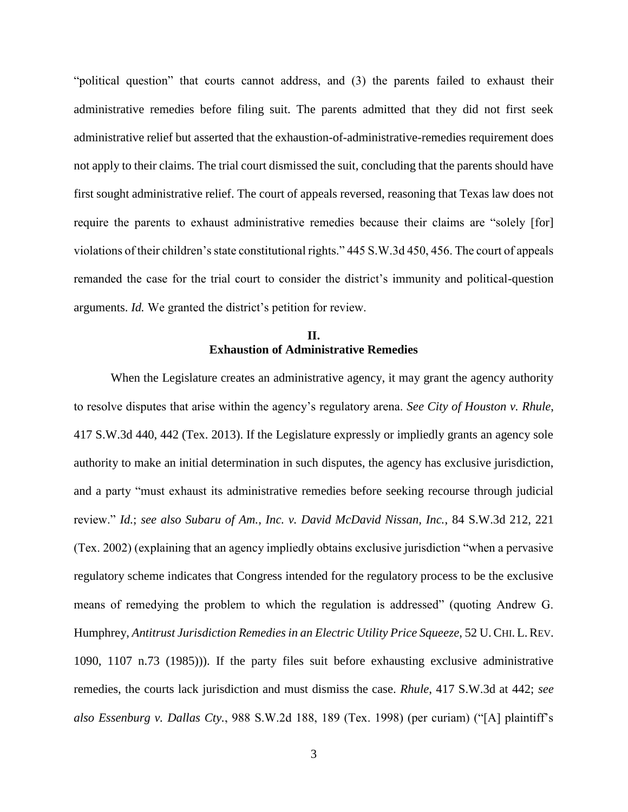"political question" that courts cannot address, and (3) the parents failed to exhaust their administrative remedies before filing suit. The parents admitted that they did not first seek administrative relief but asserted that the exhaustion-of-administrative-remedies requirement does not apply to their claims. The trial court dismissed the suit, concluding that the parents should have first sought administrative relief. The court of appeals reversed, reasoning that Texas law does not require the parents to exhaust administrative remedies because their claims are "solely [for] violations of their children's state constitutional rights." 445 S.W.3d 450, 456. The court of appeals remanded the case for the trial court to consider the district's immunity and political-question arguments. *Id.* We granted the district's petition for review.

# **II. Exhaustion of Administrative Remedies**

When the Legislature creates an administrative agency, it may grant the agency authority to resolve disputes that arise within the agency's regulatory arena. *See City of Houston v. Rhule*, 417 S.W.3d 440, 442 (Tex. 2013). If the Legislature expressly or impliedly grants an agency sole authority to make an initial determination in such disputes, the agency has exclusive jurisdiction, and a party "must exhaust its administrative remedies before seeking recourse through judicial review." *Id.*; *see also Subaru of Am., Inc. v. David McDavid Nissan, Inc.*, 84 S.W.3d 212, 221 (Tex. 2002) (explaining that an agency impliedly obtains exclusive jurisdiction "when a pervasive regulatory scheme indicates that Congress intended for the regulatory process to be the exclusive means of remedying the problem to which the regulation is addressed" (quoting Andrew G. Humphrey, *Antitrust Jurisdiction Remedies in an Electric Utility Price Squeeze*, 52 U.CHI. L.REV. 1090, 1107 n.73 (1985))). If the party files suit before exhausting exclusive administrative remedies, the courts lack jurisdiction and must dismiss the case. *Rhule*, 417 S.W.3d at 442; *see also Essenburg v. Dallas Cty.*, 988 S.W.2d 188, 189 (Tex. 1998) (per curiam) ("[A] plaintiff's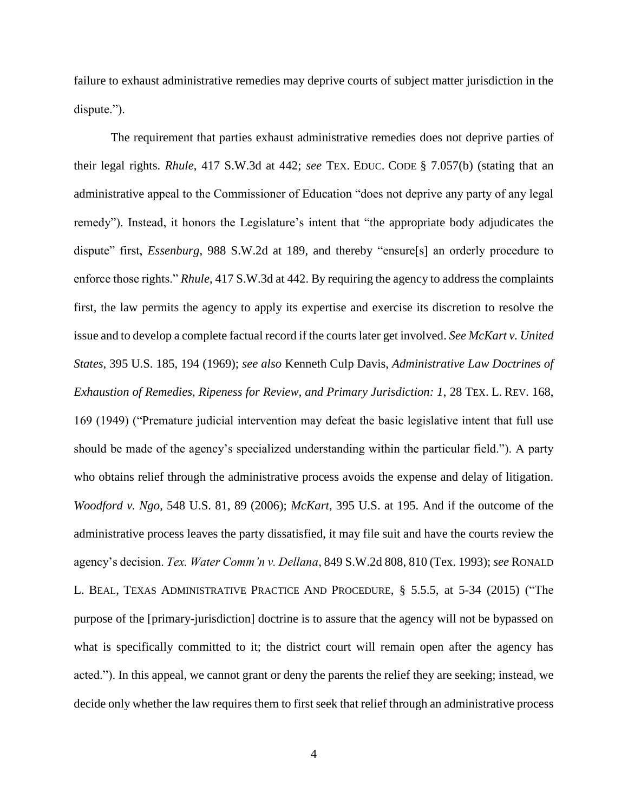failure to exhaust administrative remedies may deprive courts of subject matter jurisdiction in the dispute.").

The requirement that parties exhaust administrative remedies does not deprive parties of their legal rights. *Rhule*, 417 S.W.3d at 442; *see* TEX. EDUC. CODE § 7.057(b) (stating that an administrative appeal to the Commissioner of Education "does not deprive any party of any legal remedy"). Instead, it honors the Legislature's intent that "the appropriate body adjudicates the dispute" first, *Essenburg*, 988 S.W.2d at 189, and thereby "ensure[s] an orderly procedure to enforce those rights." *Rhule*, 417 S.W.3d at 442. By requiring the agency to address the complaints first, the law permits the agency to apply its expertise and exercise its discretion to resolve the issue and to develop a complete factual record if the courts later get involved. *See McKart v. United States*, 395 U.S. 185, 194 (1969); *see also* Kenneth Culp Davis, *Administrative Law Doctrines of Exhaustion of Remedies, Ripeness for Review, and Primary Jurisdiction: 1*, 28 TEX. L. REV. 168, 169 (1949) ("Premature judicial intervention may defeat the basic legislative intent that full use should be made of the agency's specialized understanding within the particular field."). A party who obtains relief through the administrative process avoids the expense and delay of litigation. *Woodford v. Ngo*, 548 U.S. 81, 89 (2006); *McKart*, 395 U.S. at 195. And if the outcome of the administrative process leaves the party dissatisfied, it may file suit and have the courts review the agency's decision. *Tex. Water Comm'n v. Dellana*, 849 S.W.2d 808, 810 (Tex. 1993); *see* RONALD L. BEAL, TEXAS ADMINISTRATIVE PRACTICE AND PROCEDURE, § 5.5.5, at 5-34 (2015) ("The purpose of the [primary-jurisdiction] doctrine is to assure that the agency will not be bypassed on what is specifically committed to it; the district court will remain open after the agency has acted."). In this appeal, we cannot grant or deny the parents the relief they are seeking; instead, we decide only whether the law requires them to first seek that relief through an administrative process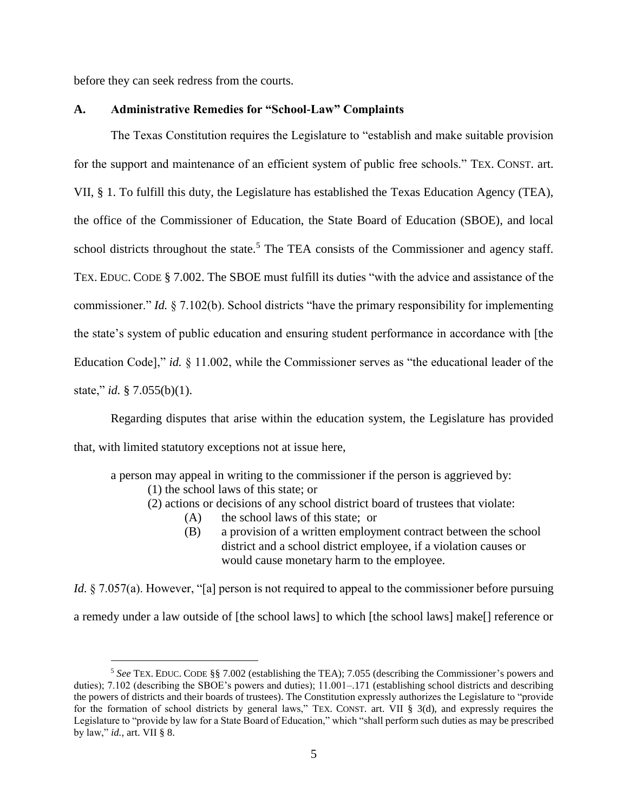before they can seek redress from the courts.

## **A. Administrative Remedies for "School-Law" Complaints**

The Texas Constitution requires the Legislature to "establish and make suitable provision for the support and maintenance of an efficient system of public free schools." TEX. CONST. art. VII, § 1. To fulfill this duty, the Legislature has established the Texas Education Agency (TEA), the office of the Commissioner of Education, the State Board of Education (SBOE), and local school districts throughout the state.<sup>5</sup> The TEA consists of the Commissioner and agency staff. TEX. EDUC. CODE § 7.002. The SBOE must fulfill its duties "with the advice and assistance of the commissioner." *Id.* § 7.102(b). School districts "have the primary responsibility for implementing the state's system of public education and ensuring student performance in accordance with [the Education Code]," *id.* § 11.002, while the Commissioner serves as "the educational leader of the state," *id.* § 7.055(b)(1).

Regarding disputes that arise within the education system, the Legislature has provided that, with limited statutory exceptions not at issue here,

a person may appeal in writing to the commissioner if the person is aggrieved by:

(1) the school laws of this state; or

 $\overline{a}$ 

- (2) actions or decisions of any school district board of trustees that violate:
	- (A) the school laws of this state; or
		- (B) a provision of a written employment contract between the school district and a school district employee, if a violation causes or would cause monetary harm to the employee.

*Id.* § 7.057(a). However, "[a] person is not required to appeal to the commissioner before pursuing a remedy under a law outside of [the school laws] to which [the school laws] make[] reference or

<sup>5</sup> *See* TEX. EDUC. CODE §§ 7.002 (establishing the TEA); 7.055 (describing the Commissioner's powers and duties); 7.102 (describing the SBOE's powers and duties); 11.001–.171 (establishing school districts and describing the powers of districts and their boards of trustees). The Constitution expressly authorizes the Legislature to "provide for the formation of school districts by general laws," TEX. CONST. art. VII § 3(d), and expressly requires the Legislature to "provide by law for a State Board of Education," which "shall perform such duties as may be prescribed by law," *id.*, art. VII § 8.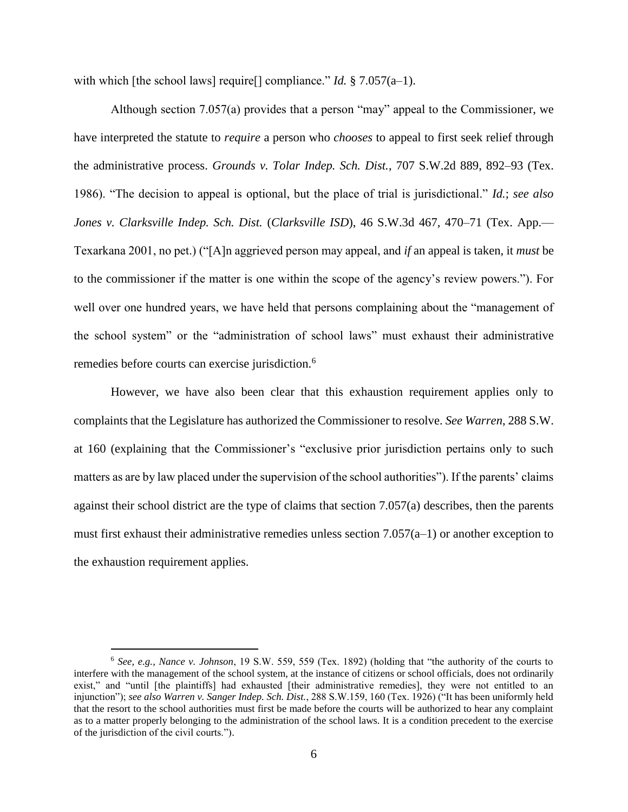with which [the school laws] require<sup>[]</sup> compliance." *Id.* § 7.057(a–1).

Although section 7.057(a) provides that a person "may" appeal to the Commissioner, we have interpreted the statute to *require* a person who *chooses* to appeal to first seek relief through the administrative process. *Grounds v. Tolar Indep. Sch. Dist.*, 707 S.W.2d 889, 892–93 (Tex. 1986). "The decision to appeal is optional, but the place of trial is jurisdictional." *Id.*; *see also Jones v. Clarksville Indep. Sch. Dist.* (*Clarksville ISD*), 46 S.W.3d 467, 470–71 (Tex. App.— Texarkana 2001, no pet.) ("[A]n aggrieved person may appeal, and *if* an appeal is taken, it *must* be to the commissioner if the matter is one within the scope of the agency's review powers."). For well over one hundred years, we have held that persons complaining about the "management of the school system" or the "administration of school laws" must exhaust their administrative remedies before courts can exercise jurisdiction.<sup>6</sup>

However, we have also been clear that this exhaustion requirement applies only to complaints that the Legislature has authorized the Commissioner to resolve. *See Warren*, 288 S.W. at 160 (explaining that the Commissioner's "exclusive prior jurisdiction pertains only to such matters as are by law placed under the supervision of the school authorities"). If the parents' claims against their school district are the type of claims that section 7.057(a) describes, then the parents must first exhaust their administrative remedies unless section  $7.057(a-1)$  or another exception to the exhaustion requirement applies.

 $\overline{a}$ 

<sup>6</sup> *See, e.g.*, *Nance v. Johnson*, 19 S.W. 559, 559 (Tex. 1892) (holding that "the authority of the courts to interfere with the management of the school system, at the instance of citizens or school officials, does not ordinarily exist," and "until [the plaintiffs] had exhausted [their administrative remedies], they were not entitled to an injunction"); *see also Warren v. Sanger Indep. Sch. Dist.*, 288 S.W.159, 160 (Tex. 1926) ("It has been uniformly held that the resort to the school authorities must first be made before the courts will be authorized to hear any complaint as to a matter properly belonging to the administration of the school laws. It is a condition precedent to the exercise of the jurisdiction of the civil courts.").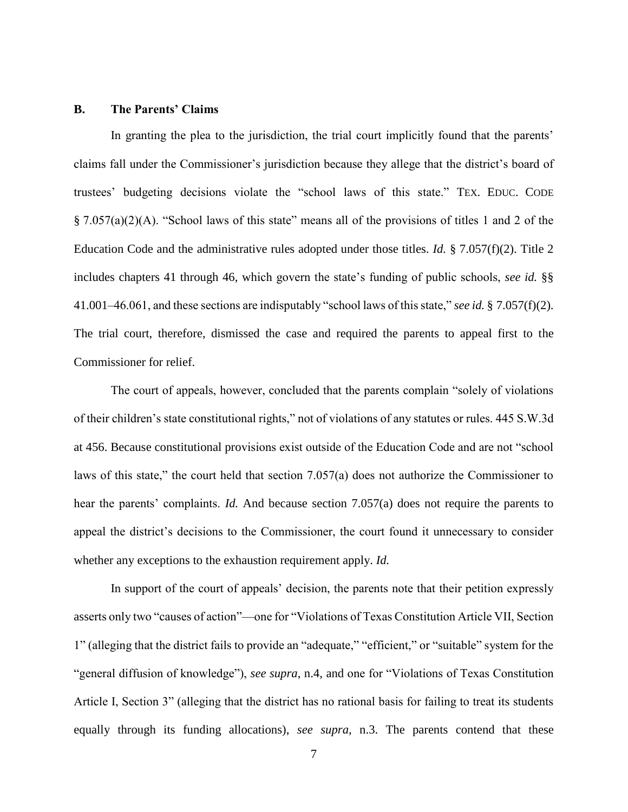## **B. The Parents' Claims**

In granting the plea to the jurisdiction, the trial court implicitly found that the parents' claims fall under the Commissioner's jurisdiction because they allege that the district's board of trustees' budgeting decisions violate the "school laws of this state." TEX. EDUC. CODE § 7.057(a)(2)(A). "School laws of this state" means all of the provisions of titles 1 and 2 of the Education Code and the administrative rules adopted under those titles. *Id.* § 7.057(f)(2). Title 2 includes chapters 41 through 46, which govern the state's funding of public schools, *see id.* §§ 41.001–46.061, and these sections are indisputably "school laws of this state," *see id.* § 7.057(f)(2). The trial court, therefore, dismissed the case and required the parents to appeal first to the Commissioner for relief.

The court of appeals, however, concluded that the parents complain "solely of violations of their children's state constitutional rights," not of violations of any statutes or rules. 445 S.W.3d at 456. Because constitutional provisions exist outside of the Education Code and are not "school laws of this state," the court held that section 7.057(a) does not authorize the Commissioner to hear the parents' complaints. *Id.* And because section 7.057(a) does not require the parents to appeal the district's decisions to the Commissioner, the court found it unnecessary to consider whether any exceptions to the exhaustion requirement apply. *Id.*

In support of the court of appeals' decision, the parents note that their petition expressly asserts only two "causes of action"—one for "Violations of Texas Constitution Article VII, Section 1" (alleging that the district fails to provide an "adequate," "efficient," or "suitable" system for the "general diffusion of knowledge"), *see supra*, n.4, and one for "Violations of Texas Constitution Article I, Section 3" (alleging that the district has no rational basis for failing to treat its students equally through its funding allocations), *see supra*, n.3. The parents contend that these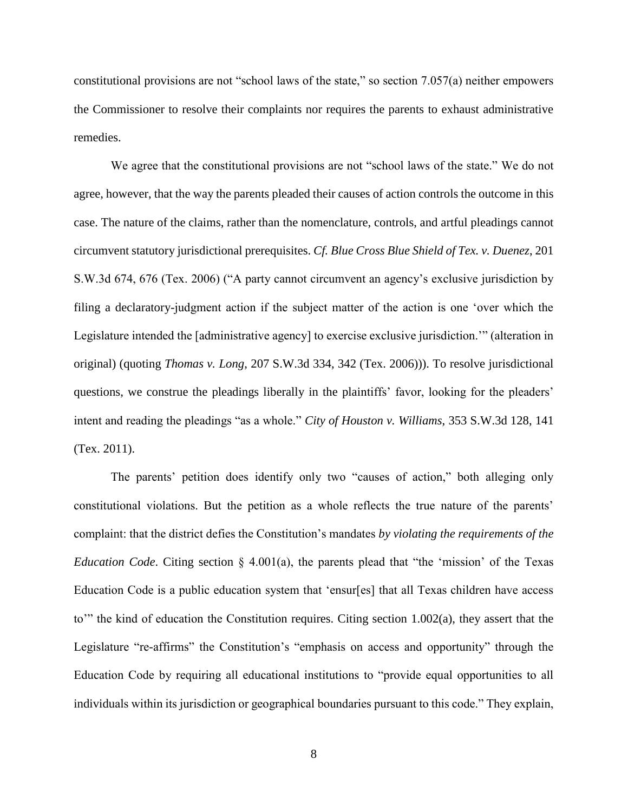constitutional provisions are not "school laws of the state," so section 7.057(a) neither empowers the Commissioner to resolve their complaints nor requires the parents to exhaust administrative remedies.

We agree that the constitutional provisions are not "school laws of the state." We do not agree, however, that the way the parents pleaded their causes of action controls the outcome in this case. The nature of the claims, rather than the nomenclature, controls, and artful pleadings cannot circumvent statutory jurisdictional prerequisites. *Cf. Blue Cross Blue Shield of Tex. v. Duenez*, 201 S.W.3d 674, 676 (Tex. 2006) ("A party cannot circumvent an agency's exclusive jurisdiction by filing a declaratory-judgment action if the subject matter of the action is one 'over which the Legislature intended the [administrative agency] to exercise exclusive jurisdiction.'" (alteration in original) (quoting *Thomas v. Long*, 207 S.W.3d 334, 342 (Tex. 2006))). To resolve jurisdictional questions, we construe the pleadings liberally in the plaintiffs' favor, looking for the pleaders' intent and reading the pleadings "as a whole." *City of Houston v. Williams*, 353 S.W.3d 128, 141 (Tex. 2011).

The parents' petition does identify only two "causes of action," both alleging only constitutional violations. But the petition as a whole reflects the true nature of the parents' complaint: that the district defies the Constitution's mandates *by violating the requirements of the Education Code*. Citing section § 4.001(a), the parents plead that "the 'mission' of the Texas Education Code is a public education system that 'ensur[es] that all Texas children have access to'" the kind of education the Constitution requires. Citing section 1.002(a), they assert that the Legislature "re-affirms" the Constitution's "emphasis on access and opportunity" through the Education Code by requiring all educational institutions to "provide equal opportunities to all individuals within its jurisdiction or geographical boundaries pursuant to this code." They explain,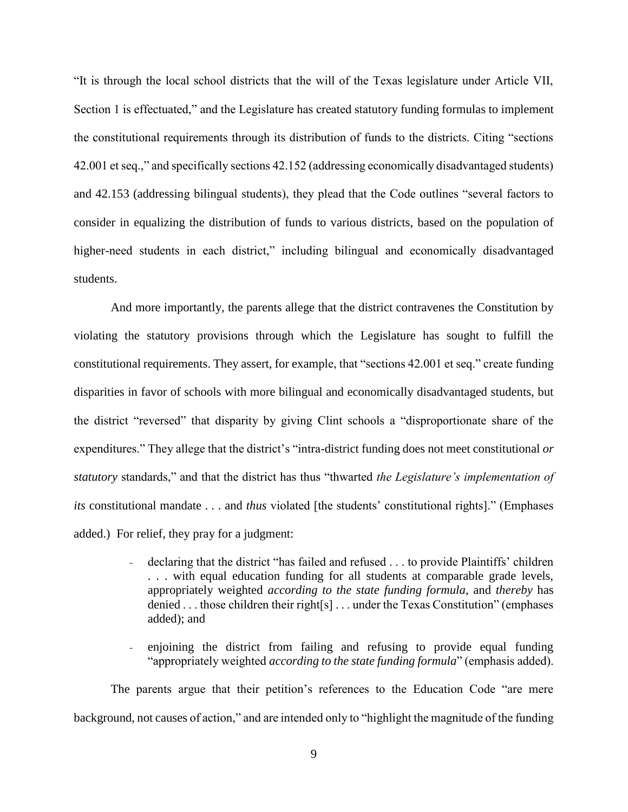"It is through the local school districts that the will of the Texas legislature under Article VII, Section 1 is effectuated," and the Legislature has created statutory funding formulas to implement the constitutional requirements through its distribution of funds to the districts. Citing "sections 42.001 et seq.," and specifically sections 42.152 (addressing economically disadvantaged students) and 42.153 (addressing bilingual students), they plead that the Code outlines "several factors to consider in equalizing the distribution of funds to various districts, based on the population of higher-need students in each district," including bilingual and economically disadvantaged students.

And more importantly, the parents allege that the district contravenes the Constitution by violating the statutory provisions through which the Legislature has sought to fulfill the constitutional requirements. They assert, for example, that "sections 42.001 et seq." create funding disparities in favor of schools with more bilingual and economically disadvantaged students, but the district "reversed" that disparity by giving Clint schools a "disproportionate share of the expenditures." They allege that the district's "intra-district funding does not meet constitutional *or statutory* standards," and that the district has thus "thwarted *the Legislature's implementation of its* constitutional mandate . . . and *thus* violated [the students' constitutional rights]." (Emphases added.) For relief, they pray for a judgment:

- declaring that the district "has failed and refused . . . to provide Plaintiffs' children . . . with equal education funding for all students at comparable grade levels, appropriately weighted *according to the state funding formula*, and *thereby* has denied . . . those children their right[s] . . . under the Texas Constitution" (emphases added); and
- enjoining the district from failing and refusing to provide equal funding "appropriately weighted *according to the state funding formula*" (emphasis added).

The parents argue that their petition's references to the Education Code "are mere background, not causes of action," and are intended only to "highlight the magnitude of the funding

9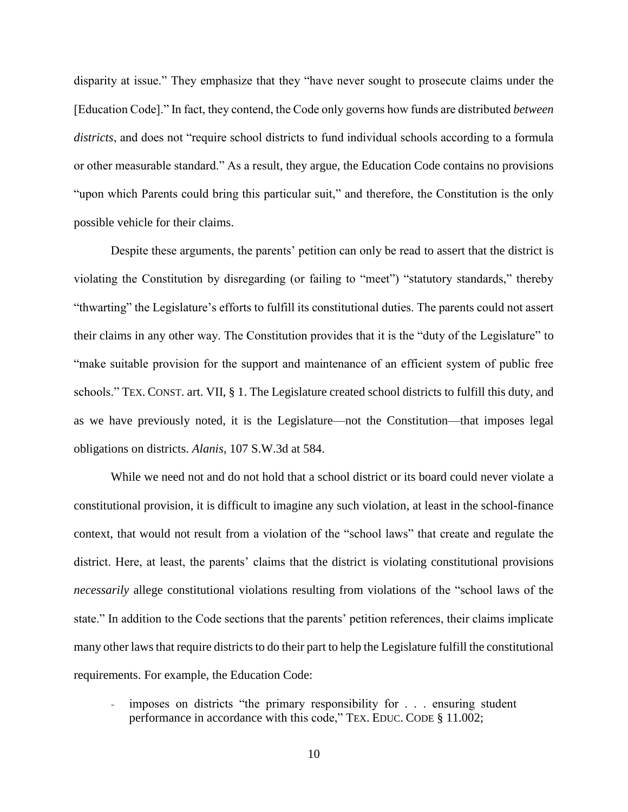disparity at issue." They emphasize that they "have never sought to prosecute claims under the [Education Code]." In fact, they contend, the Code only governs how funds are distributed *between districts*, and does not "require school districts to fund individual schools according to a formula or other measurable standard." As a result, they argue, the Education Code contains no provisions "upon which Parents could bring this particular suit," and therefore, the Constitution is the only possible vehicle for their claims.

Despite these arguments, the parents' petition can only be read to assert that the district is violating the Constitution by disregarding (or failing to "meet") "statutory standards," thereby "thwarting" the Legislature's efforts to fulfill its constitutional duties. The parents could not assert their claims in any other way. The Constitution provides that it is the "duty of the Legislature" to "make suitable provision for the support and maintenance of an efficient system of public free schools." TEX. CONST. art. VII, § 1. The Legislature created school districts to fulfill this duty, and as we have previously noted, it is the Legislature—not the Constitution—that imposes legal obligations on districts. *Alanis*, 107 S.W.3d at 584.

While we need not and do not hold that a school district or its board could never violate a constitutional provision, it is difficult to imagine any such violation, at least in the school-finance context, that would not result from a violation of the "school laws" that create and regulate the district. Here, at least, the parents' claims that the district is violating constitutional provisions *necessarily* allege constitutional violations resulting from violations of the "school laws of the state." In addition to the Code sections that the parents' petition references, their claims implicate many other laws that require districts to do their part to help the Legislature fulfill the constitutional requirements. For example, the Education Code:

imposes on districts "the primary responsibility for . . . ensuring student performance in accordance with this code," TEX. EDUC. CODE § 11.002;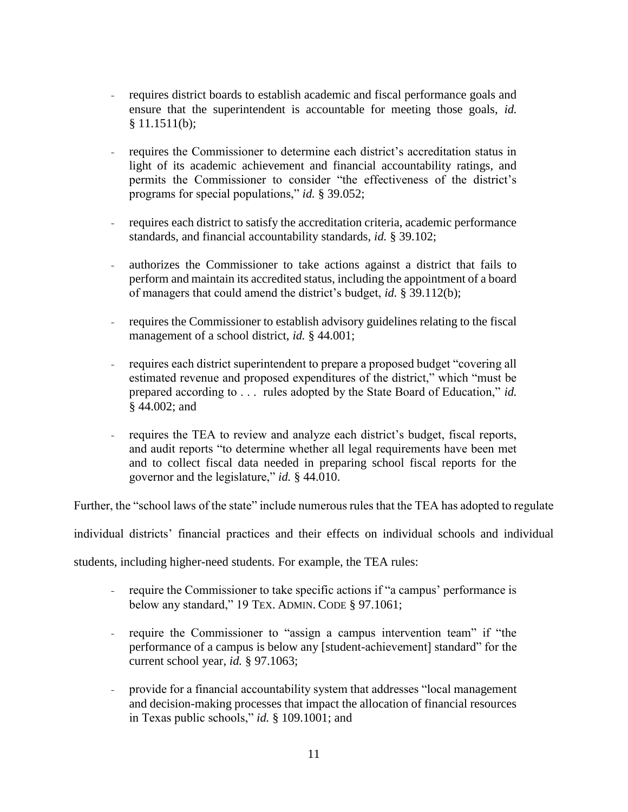- requires district boards to establish academic and fiscal performance goals and ensure that the superintendent is accountable for meeting those goals, *id.* § 11.1511(b);
- requires the Commissioner to determine each district's accreditation status in light of its academic achievement and financial accountability ratings, and permits the Commissioner to consider "the effectiveness of the district's programs for special populations," *id.* § 39.052;
- requires each district to satisfy the accreditation criteria, academic performance standards, and financial accountability standards, *id.* § 39.102;
- authorizes the Commissioner to take actions against a district that fails to perform and maintain its accredited status, including the appointment of a board of managers that could amend the district's budget, *id.* § 39.112(b);
- requires the Commissioner to establish advisory guidelines relating to the fiscal management of a school district, *id.* § 44.001;
- requires each district superintendent to prepare a proposed budget "covering all estimated revenue and proposed expenditures of the district," which "must be prepared according to . . . rules adopted by the State Board of Education," *id.* § 44.002; and
- requires the TEA to review and analyze each district's budget, fiscal reports, and audit reports "to determine whether all legal requirements have been met and to collect fiscal data needed in preparing school fiscal reports for the governor and the legislature," *id.* § 44.010.

Further, the "school laws of the state" include numerous rules that the TEA has adopted to regulate

individual districts' financial practices and their effects on individual schools and individual

students, including higher-need students. For example, the TEA rules:

- require the Commissioner to take specific actions if "a campus' performance is below any standard," 19 TEX. ADMIN. CODE § 97.1061;
- require the Commissioner to "assign a campus intervention team" if "the performance of a campus is below any [student-achievement] standard" for the current school year, *id.* § 97.1063;
- provide for a financial accountability system that addresses "local management and decision-making processes that impact the allocation of financial resources in Texas public schools," *id.* § 109.1001; and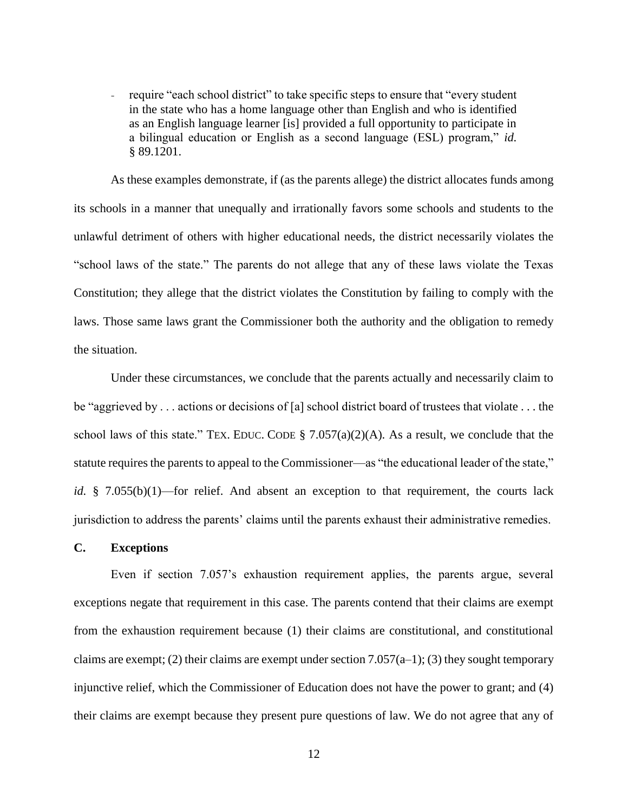- require "each school district" to take specific steps to ensure that "every student" in the state who has a home language other than English and who is identified as an English language learner [is] provided a full opportunity to participate in a bilingual education or English as a second language (ESL) program," *id.* § 89.1201.

As these examples demonstrate, if (as the parents allege) the district allocates funds among its schools in a manner that unequally and irrationally favors some schools and students to the unlawful detriment of others with higher educational needs, the district necessarily violates the "school laws of the state." The parents do not allege that any of these laws violate the Texas Constitution; they allege that the district violates the Constitution by failing to comply with the laws. Those same laws grant the Commissioner both the authority and the obligation to remedy the situation.

Under these circumstances, we conclude that the parents actually and necessarily claim to be "aggrieved by . . . actions or decisions of [a] school district board of trustees that violate . . . the school laws of this state." TEX. EDUC. CODE  $\S$  7.057(a)(2)(A). As a result, we conclude that the statute requires the parents to appeal to the Commissioner—as "the educational leader of the state," *id.* § 7.055(b)(1)—for relief. And absent an exception to that requirement, the courts lack jurisdiction to address the parents' claims until the parents exhaust their administrative remedies.

## **C. Exceptions**

Even if section 7.057's exhaustion requirement applies, the parents argue, several exceptions negate that requirement in this case. The parents contend that their claims are exempt from the exhaustion requirement because (1) their claims are constitutional, and constitutional claims are exempt; (2) their claims are exempt under section  $7.057(a-1)$ ; (3) they sought temporary injunctive relief, which the Commissioner of Education does not have the power to grant; and (4) their claims are exempt because they present pure questions of law. We do not agree that any of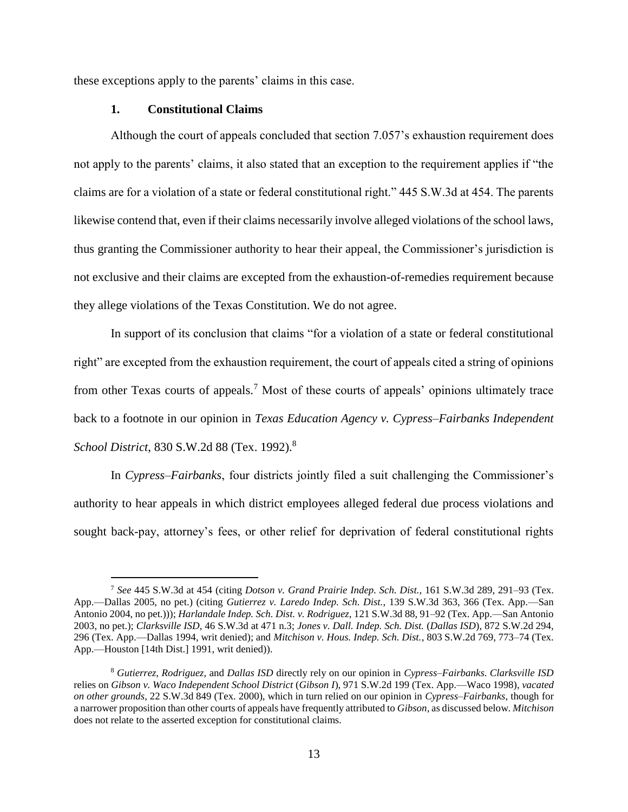these exceptions apply to the parents' claims in this case.

## **1. Constitutional Claims**

 $\overline{a}$ 

Although the court of appeals concluded that section 7.057's exhaustion requirement does not apply to the parents' claims, it also stated that an exception to the requirement applies if "the claims are for a violation of a state or federal constitutional right." 445 S.W.3d at 454. The parents likewise contend that, even if their claims necessarily involve alleged violations of the school laws, thus granting the Commissioner authority to hear their appeal, the Commissioner's jurisdiction is not exclusive and their claims are excepted from the exhaustion-of-remedies requirement because they allege violations of the Texas Constitution. We do not agree.

In support of its conclusion that claims "for a violation of a state or federal constitutional right" are excepted from the exhaustion requirement, the court of appeals cited a string of opinions from other Texas courts of appeals.<sup>7</sup> Most of these courts of appeals' opinions ultimately trace back to a footnote in our opinion in *Texas Education Agency v. Cypress–Fairbanks Independent School District*, 830 S.W.2d 88 (Tex. 1992).<sup>8</sup>

In *Cypress–Fairbanks*, four districts jointly filed a suit challenging the Commissioner's authority to hear appeals in which district employees alleged federal due process violations and sought back-pay, attorney's fees, or other relief for deprivation of federal constitutional rights

<sup>7</sup> *See* 445 S.W.3d at 454 (citing *Dotson v. Grand Prairie Indep. Sch. Dist.*, 161 S.W.3d 289, 291–93 (Tex. App.—Dallas 2005, no pet.) (citing *Gutierrez v. Laredo Indep. Sch. Dist.*, 139 S.W.3d 363, 366 (Tex. App.—San Antonio 2004, no pet.))); *Harlandale Indep. Sch. Dist. v. Rodriguez*, 121 S.W.3d 88, 91–92 (Tex. App.—San Antonio 2003, no pet.); *Clarksville ISD*, 46 S.W.3d at 471 n.3; *Jones v. Dall. Indep. Sch. Dist.* (*Dallas ISD*), 872 S.W.2d 294, 296 (Tex. App.—Dallas 1994, writ denied); and *Mitchison v. Hous. Indep. Sch. Dist.*, 803 S.W.2d 769, 773–74 (Tex. App.—Houston [14th Dist.] 1991, writ denied)).

<sup>8</sup> *Gutierrez*, *Rodriguez*, and *Dallas ISD* directly rely on our opinion in *Cypress–Fairbanks*. *Clarksville ISD* relies on *Gibson v. Waco Independent School District* (*Gibson I*), 971 S.W.2d 199 (Tex. App.—Waco 1998), *vacated on other grounds*, 22 S.W.3d 849 (Tex. 2000), which in turn relied on our opinion in *Cypress–Fairbanks*, though for a narrower proposition than other courts of appeals have frequently attributed to *Gibson*, as discussed below. *Mitchison*  does not relate to the asserted exception for constitutional claims.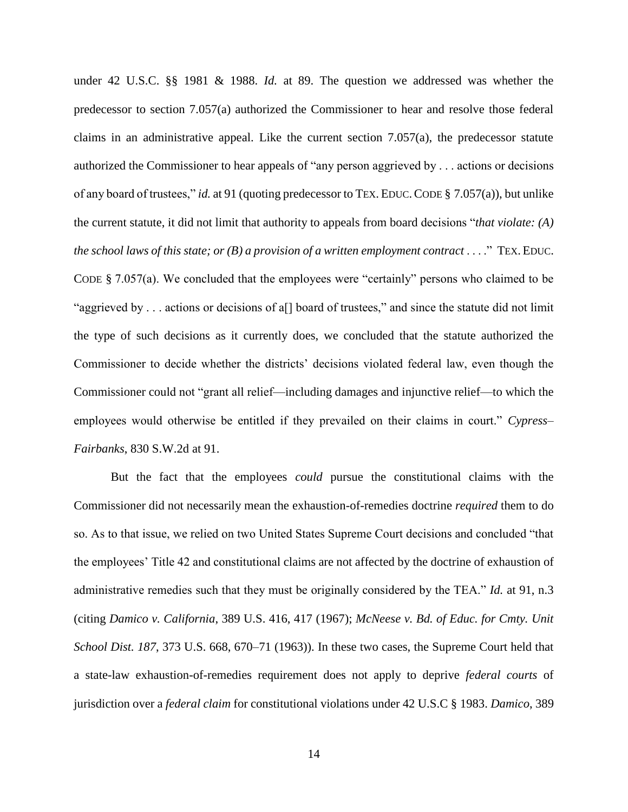under 42 U.S.C. §§ 1981 & 1988. *Id.* at 89. The question we addressed was whether the predecessor to section 7.057(a) authorized the Commissioner to hear and resolve those federal claims in an administrative appeal. Like the current section  $7.057(a)$ , the predecessor statute authorized the Commissioner to hear appeals of "any person aggrieved by . . . actions or decisions of any board of trustees," *id.* at 91 (quoting predecessor to TEX. EDUC.CODE § 7.057(a)), but unlike the current statute, it did not limit that authority to appeals from board decisions "*that violate: (A) the school laws of this state; or (B) a provision of a written employment contract* . . . ." TEX. EDUC. CODE § 7.057(a). We concluded that the employees were "certainly" persons who claimed to be "aggrieved by . . . actions or decisions of a[] board of trustees," and since the statute did not limit the type of such decisions as it currently does, we concluded that the statute authorized the Commissioner to decide whether the districts' decisions violated federal law, even though the Commissioner could not "grant all relief—including damages and injunctive relief—to which the employees would otherwise be entitled if they prevailed on their claims in court." *Cypress– Fairbanks*, 830 S.W.2d at 91.

But the fact that the employees *could* pursue the constitutional claims with the Commissioner did not necessarily mean the exhaustion-of-remedies doctrine *required* them to do so. As to that issue, we relied on two United States Supreme Court decisions and concluded "that the employees' Title 42 and constitutional claims are not affected by the doctrine of exhaustion of administrative remedies such that they must be originally considered by the TEA." *Id.* at 91, n.3 (citing *Damico v. California*, 389 U.S. 416, 417 (1967); *McNeese v. Bd. of Educ. for Cmty. Unit School Dist. 187*, 373 U.S. 668, 670–71 (1963)). In these two cases, the Supreme Court held that a state-law exhaustion-of-remedies requirement does not apply to deprive *federal courts* of jurisdiction over a *federal claim* for constitutional violations under 42 U.S.C § 1983. *Damico*, 389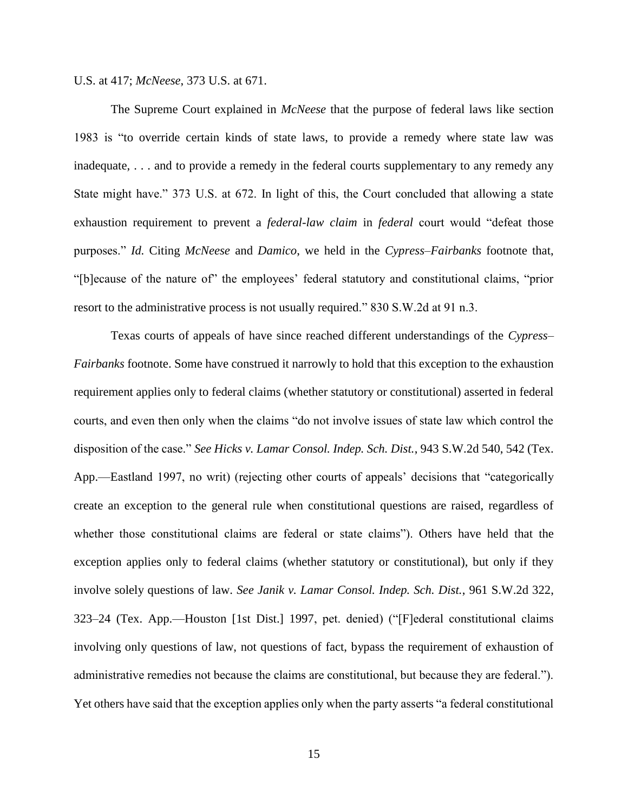U.S. at 417; *McNeese*, 373 U.S. at 671.

The Supreme Court explained in *McNeese* that the purpose of federal laws like section 1983 is "to override certain kinds of state laws, to provide a remedy where state law was inadequate, . . . and to provide a remedy in the federal courts supplementary to any remedy any State might have." 373 U.S. at 672. In light of this, the Court concluded that allowing a state exhaustion requirement to prevent a *federal-law claim* in *federal* court would "defeat those purposes." *Id.* Citing *McNeese* and *Damico*, we held in the *Cypress–Fairbanks* footnote that, "[b]ecause of the nature of" the employees' federal statutory and constitutional claims, "prior resort to the administrative process is not usually required." 830 S.W.2d at 91 n.3.

Texas courts of appeals of have since reached different understandings of the *Cypress– Fairbanks* footnote. Some have construed it narrowly to hold that this exception to the exhaustion requirement applies only to federal claims (whether statutory or constitutional) asserted in federal courts, and even then only when the claims "do not involve issues of state law which control the disposition of the case." *See Hicks v. Lamar Consol. Indep. Sch. Dist.*, 943 S.W.2d 540, 542 (Tex. App.—Eastland 1997, no writ) (rejecting other courts of appeals' decisions that "categorically create an exception to the general rule when constitutional questions are raised, regardless of whether those constitutional claims are federal or state claims"). Others have held that the exception applies only to federal claims (whether statutory or constitutional), but only if they involve solely questions of law. *See Janik v. Lamar Consol. Indep. Sch. Dist.*, 961 S.W.2d 322, 323–24 (Tex. App.—Houston [1st Dist.] 1997, pet. denied) ("[F]ederal constitutional claims involving only questions of law, not questions of fact, bypass the requirement of exhaustion of administrative remedies not because the claims are constitutional, but because they are federal."). Yet others have said that the exception applies only when the party asserts "a federal constitutional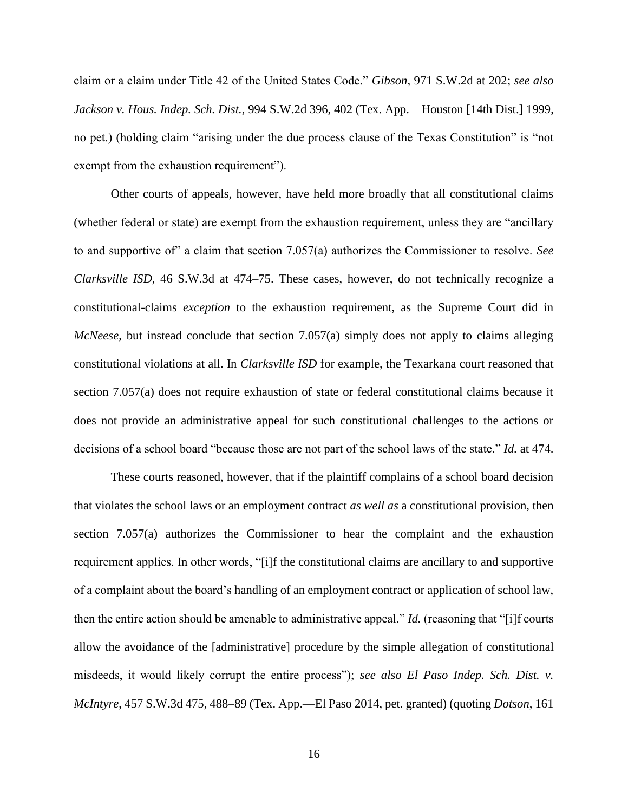claim or a claim under Title 42 of the United States Code." *Gibson,* 971 S.W.2d at 202; *see also Jackson v. Hous. Indep. Sch. Dist.*, 994 S.W.2d 396, 402 (Tex. App.—Houston [14th Dist.] 1999, no pet.) (holding claim "arising under the due process clause of the Texas Constitution" is "not exempt from the exhaustion requirement").

Other courts of appeals, however, have held more broadly that all constitutional claims (whether federal or state) are exempt from the exhaustion requirement, unless they are "ancillary to and supportive of" a claim that section 7.057(a) authorizes the Commissioner to resolve. *See Clarksville ISD*, 46 S.W.3d at 474–75. These cases, however, do not technically recognize a constitutional-claims *exception* to the exhaustion requirement, as the Supreme Court did in *McNeese*, but instead conclude that section 7.057(a) simply does not apply to claims alleging constitutional violations at all. In *Clarksville ISD* for example, the Texarkana court reasoned that section 7.057(a) does not require exhaustion of state or federal constitutional claims because it does not provide an administrative appeal for such constitutional challenges to the actions or decisions of a school board "because those are not part of the school laws of the state." *Id.* at 474.

These courts reasoned, however, that if the plaintiff complains of a school board decision that violates the school laws or an employment contract *as well as* a constitutional provision, then section 7.057(a) authorizes the Commissioner to hear the complaint and the exhaustion requirement applies. In other words, "[i]f the constitutional claims are ancillary to and supportive of a complaint about the board's handling of an employment contract or application of school law, then the entire action should be amenable to administrative appeal." *Id.* (reasoning that "[i]f courts allow the avoidance of the [administrative] procedure by the simple allegation of constitutional misdeeds, it would likely corrupt the entire process"); *see also El Paso Indep. Sch. Dist. v. McIntyre*, 457 S.W.3d 475, 488–89 (Tex. App.—El Paso 2014, pet. granted) (quoting *Dotson*, 161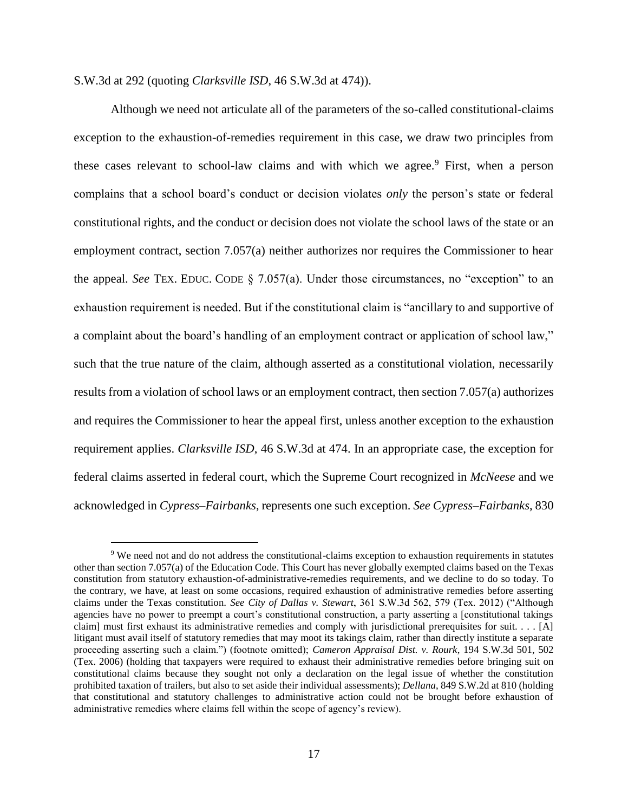S.W.3d at 292 (quoting *Clarksville ISD*, 46 S.W.3d at 474)).

 $\overline{a}$ 

Although we need not articulate all of the parameters of the so-called constitutional-claims exception to the exhaustion-of-remedies requirement in this case, we draw two principles from these cases relevant to school-law claims and with which we agree.<sup>9</sup> First, when a person complains that a school board's conduct or decision violates *only* the person's state or federal constitutional rights, and the conduct or decision does not violate the school laws of the state or an employment contract, section 7.057(a) neither authorizes nor requires the Commissioner to hear the appeal. *See* TEX. EDUC. CODE § 7.057(a). Under those circumstances, no "exception" to an exhaustion requirement is needed. But if the constitutional claim is "ancillary to and supportive of a complaint about the board's handling of an employment contract or application of school law," such that the true nature of the claim, although asserted as a constitutional violation, necessarily results from a violation of school laws or an employment contract, then section 7.057(a) authorizes and requires the Commissioner to hear the appeal first, unless another exception to the exhaustion requirement applies. *Clarksville ISD*, 46 S.W.3d at 474. In an appropriate case, the exception for federal claims asserted in federal court, which the Supreme Court recognized in *McNeese* and we acknowledged in *Cypress–Fairbanks*, represents one such exception. *See Cypress–Fairbanks*, 830

<sup>&</sup>lt;sup>9</sup> We need not and do not address the constitutional-claims exception to exhaustion requirements in statutes other than section 7.057(a) of the Education Code. This Court has never globally exempted claims based on the Texas constitution from statutory exhaustion-of-administrative-remedies requirements, and we decline to do so today. To the contrary, we have, at least on some occasions, required exhaustion of administrative remedies before asserting claims under the Texas constitution. *See City of Dallas v. Stewart*, 361 S.W.3d 562, 579 (Tex. 2012) ("Although agencies have no power to preempt a court's constitutional construction, a party asserting a [constitutional takings claim] must first exhaust its administrative remedies and comply with jurisdictional prerequisites for suit.  $\dots$  [A] litigant must avail itself of statutory remedies that may moot its takings claim, rather than directly institute a separate proceeding asserting such a claim.") (footnote omitted); *Cameron Appraisal Dist. v. Rourk*, 194 S.W.3d 501, 502 (Tex. 2006) (holding that taxpayers were required to exhaust their administrative remedies before bringing suit on constitutional claims because they sought not only a declaration on the legal issue of whether the constitution prohibited taxation of trailers, but also to set aside their individual assessments); *Dellana*, 849 S.W.2d at 810 (holding that constitutional and statutory challenges to administrative action could not be brought before exhaustion of administrative remedies where claims fell within the scope of agency's review).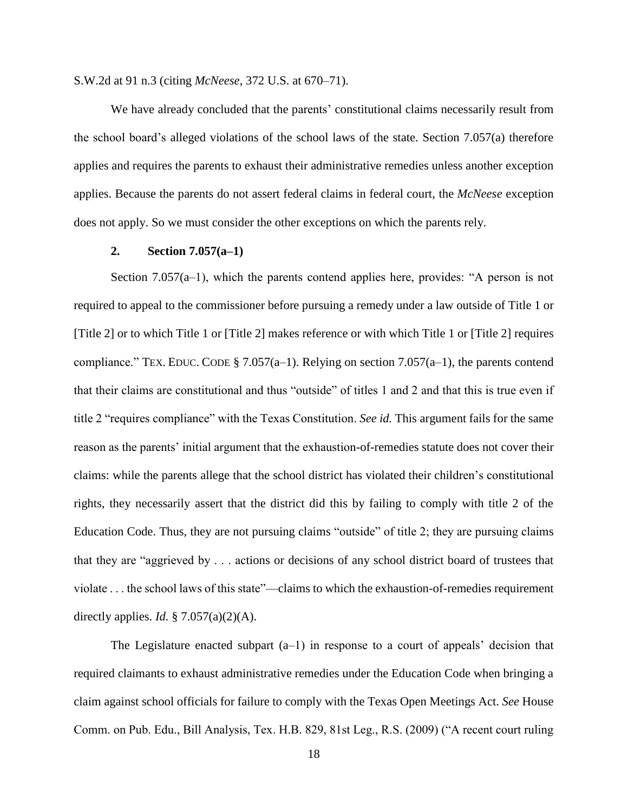S.W.2d at 91 n.3 (citing *McNeese*, 372 U.S. at 670–71).

We have already concluded that the parents' constitutional claims necessarily result from the school board's alleged violations of the school laws of the state. Section 7.057(a) therefore applies and requires the parents to exhaust their administrative remedies unless another exception applies. Because the parents do not assert federal claims in federal court, the *McNeese* exception does not apply. So we must consider the other exceptions on which the parents rely.

## **2. Section 7.057(a–1)**

Section 7.057(a–1), which the parents contend applies here, provides: "A person is not required to appeal to the commissioner before pursuing a remedy under a law outside of Title 1 or [Title 2] or to which Title 1 or [Title 2] makes reference or with which Title 1 or [Title 2] requires compliance." TEX. EDUC. CODE § 7.057(a–1). Relying on section 7.057(a–1), the parents contend that their claims are constitutional and thus "outside" of titles 1 and 2 and that this is true even if title 2 "requires compliance" with the Texas Constitution. *See id.* This argument fails for the same reason as the parents' initial argument that the exhaustion-of-remedies statute does not cover their claims: while the parents allege that the school district has violated their children's constitutional rights, they necessarily assert that the district did this by failing to comply with title 2 of the Education Code. Thus, they are not pursuing claims "outside" of title 2; they are pursuing claims that they are "aggrieved by . . . actions or decisions of any school district board of trustees that violate . . . the school laws of this state"—claims to which the exhaustion-of-remedies requirement directly applies. *Id.* § 7.057(a)(2)(A).

The Legislature enacted subpart  $(a-1)$  in response to a court of appeals' decision that required claimants to exhaust administrative remedies under the Education Code when bringing a claim against school officials for failure to comply with the Texas Open Meetings Act. *See* House Comm. on Pub. Edu., Bill Analysis, Tex. H.B. 829, 81st Leg., R.S. (2009) ("A recent court ruling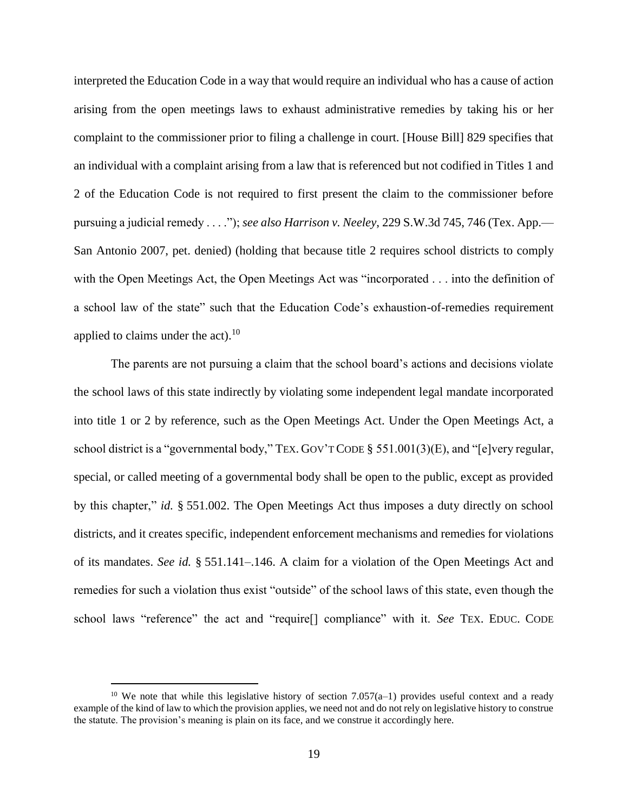interpreted the Education Code in a way that would require an individual who has a cause of action arising from the open meetings laws to exhaust administrative remedies by taking his or her complaint to the commissioner prior to filing a challenge in court. [House Bill] 829 specifies that an individual with a complaint arising from a law that is referenced but not codified in Titles 1 and 2 of the Education Code is not required to first present the claim to the commissioner before pursuing a judicial remedy . . . ."); *see also Harrison v. Neeley*, 229 S.W.3d 745, 746 (Tex. App.— San Antonio 2007, pet. denied) (holding that because title 2 requires school districts to comply with the Open Meetings Act, the Open Meetings Act was "incorporated . . . into the definition of a school law of the state" such that the Education Code's exhaustion-of-remedies requirement applied to claims under the act).<sup>10</sup>

The parents are not pursuing a claim that the school board's actions and decisions violate the school laws of this state indirectly by violating some independent legal mandate incorporated into title 1 or 2 by reference, such as the Open Meetings Act. Under the Open Meetings Act, a school district is a "governmental body," TEX. GOV'T CODE § 551.001(3)(E), and "[e]very regular, special, or called meeting of a governmental body shall be open to the public, except as provided by this chapter," *id.* § 551.002. The Open Meetings Act thus imposes a duty directly on school districts, and it creates specific, independent enforcement mechanisms and remedies for violations of its mandates. *See id.* § 551.141–.146. A claim for a violation of the Open Meetings Act and remedies for such a violation thus exist "outside" of the school laws of this state, even though the school laws "reference" the act and "require[] compliance" with it. *See* TEX. EDUC. CODE

 $\overline{a}$ 

<sup>&</sup>lt;sup>10</sup> We note that while this legislative history of section 7.057(a–1) provides useful context and a ready example of the kind of law to which the provision applies, we need not and do not rely on legislative history to construe the statute. The provision's meaning is plain on its face, and we construe it accordingly here.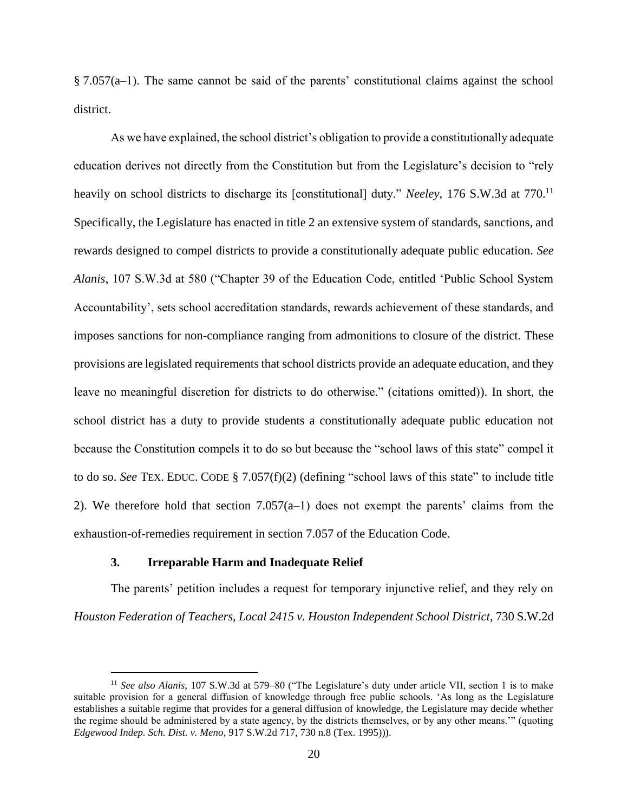§ 7.057(a–1). The same cannot be said of the parents' constitutional claims against the school district.

As we have explained, the school district's obligation to provide a constitutionally adequate education derives not directly from the Constitution but from the Legislature's decision to "rely heavily on school districts to discharge its [constitutional] duty." *Neeley*, 176 S.W.3d at 770.<sup>11</sup> Specifically, the Legislature has enacted in title 2 an extensive system of standards, sanctions, and rewards designed to compel districts to provide a constitutionally adequate public education. *See Alanis*, 107 S.W.3d at 580 ("Chapter 39 of the Education Code, entitled 'Public School System Accountability', sets school accreditation standards, rewards achievement of these standards, and imposes sanctions for non-compliance ranging from admonitions to closure of the district. These provisions are legislated requirements that school districts provide an adequate education, and they leave no meaningful discretion for districts to do otherwise." (citations omitted)). In short, the school district has a duty to provide students a constitutionally adequate public education not because the Constitution compels it to do so but because the "school laws of this state" compel it to do so. *See* TEX. EDUC. CODE § 7.057(f)(2) (defining "school laws of this state" to include title 2). We therefore hold that section 7.057(a–1) does not exempt the parents' claims from the exhaustion-of-remedies requirement in section 7.057 of the Education Code.

#### **3. Irreparable Harm and Inadequate Relief**

 $\ddot{\phantom{a}}$ 

The parents' petition includes a request for temporary injunctive relief, and they rely on *Houston Federation of Teachers, Local 2415 v. Houston Independent School District*, 730 S.W.2d

<sup>11</sup> *See also Alanis*, 107 S.W.3d at 579–80 ("The Legislature's duty under article VII, section 1 is to make suitable provision for a general diffusion of knowledge through free public schools. 'As long as the Legislature establishes a suitable regime that provides for a general diffusion of knowledge, the Legislature may decide whether the regime should be administered by a state agency, by the districts themselves, or by any other means.'" (quoting *Edgewood Indep. Sch. Dist. v. Meno*, 917 S.W.2d 717, 730 n.8 (Tex. 1995))).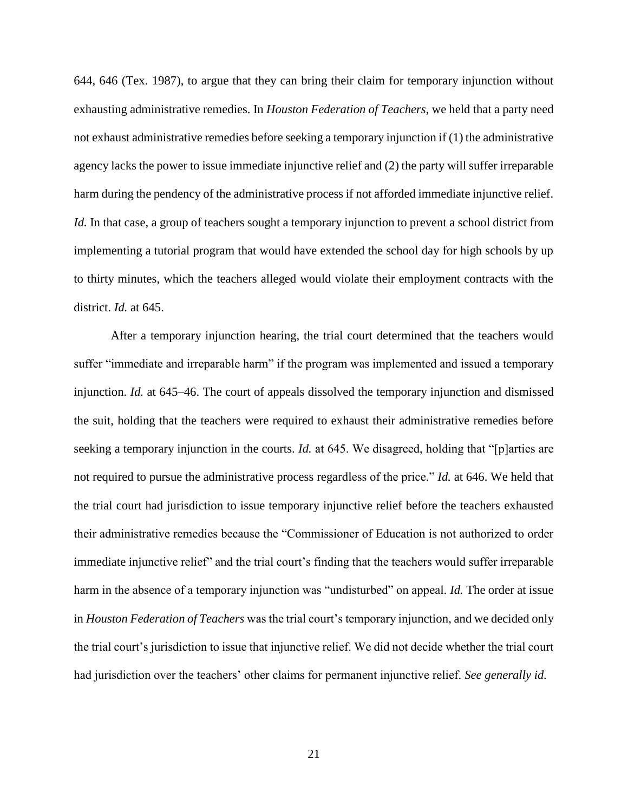644, 646 (Tex. 1987), to argue that they can bring their claim for temporary injunction without exhausting administrative remedies. In *Houston Federation of Teachers*, we held that a party need not exhaust administrative remedies before seeking a temporary injunction if (1) the administrative agency lacks the power to issue immediate injunctive relief and (2) the party will suffer irreparable harm during the pendency of the administrative process if not afforded immediate injunctive relief. *Id.* In that case, a group of teachers sought a temporary injunction to prevent a school district from implementing a tutorial program that would have extended the school day for high schools by up to thirty minutes, which the teachers alleged would violate their employment contracts with the district. *Id.* at 645.

After a temporary injunction hearing, the trial court determined that the teachers would suffer "immediate and irreparable harm" if the program was implemented and issued a temporary injunction. *Id.* at 645–46. The court of appeals dissolved the temporary injunction and dismissed the suit, holding that the teachers were required to exhaust their administrative remedies before seeking a temporary injunction in the courts. *Id.* at 645. We disagreed, holding that "[p]arties are not required to pursue the administrative process regardless of the price." *Id.* at 646. We held that the trial court had jurisdiction to issue temporary injunctive relief before the teachers exhausted their administrative remedies because the "Commissioner of Education is not authorized to order immediate injunctive relief" and the trial court's finding that the teachers would suffer irreparable harm in the absence of a temporary injunction was "undisturbed" on appeal. *Id.* The order at issue in *Houston Federation of Teachers* was the trial court's temporary injunction, and we decided only the trial court's jurisdiction to issue that injunctive relief. We did not decide whether the trial court had jurisdiction over the teachers' other claims for permanent injunctive relief. *See generally id.*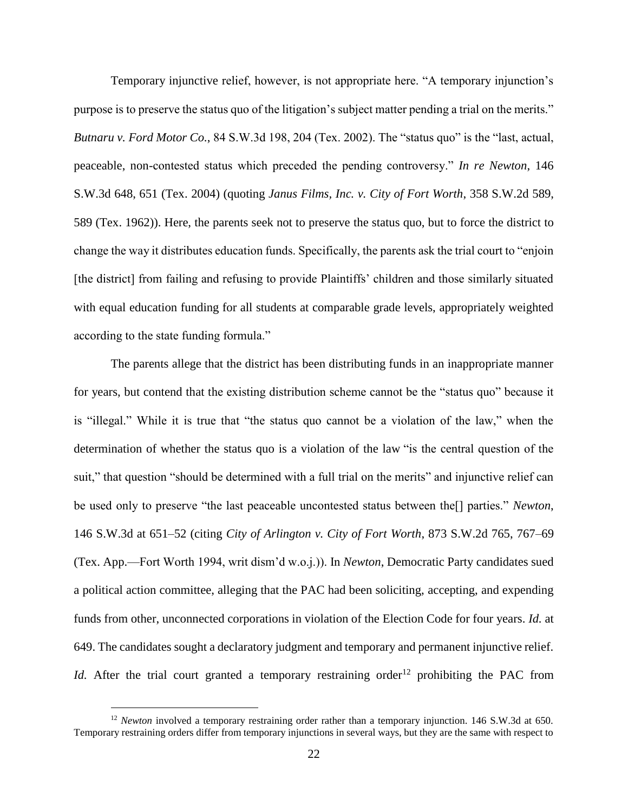Temporary injunctive relief, however, is not appropriate here. "A temporary injunction's purpose is to preserve the status quo of the litigation's subject matter pending a trial on the merits." *Butnaru v. Ford Motor Co.*, 84 S.W.3d 198, 204 (Tex. 2002). The "status quo" is the "last, actual, peaceable, non-contested status which preceded the pending controversy." *In re Newton*, 146 S.W.3d 648, 651 (Tex. 2004) (quoting *Janus Films, Inc. v. City of Fort Worth*, 358 S.W.2d 589, 589 (Tex. 1962)). Here, the parents seek not to preserve the status quo, but to force the district to change the way it distributes education funds. Specifically, the parents ask the trial court to "enjoin [the district] from failing and refusing to provide Plaintiffs' children and those similarly situated with equal education funding for all students at comparable grade levels, appropriately weighted according to the state funding formula."

The parents allege that the district has been distributing funds in an inappropriate manner for years, but contend that the existing distribution scheme cannot be the "status quo" because it is "illegal." While it is true that "the status quo cannot be a violation of the law," when the determination of whether the status quo is a violation of the law "is the central question of the suit," that question "should be determined with a full trial on the merits" and injunctive relief can be used only to preserve "the last peaceable uncontested status between the[] parties." *Newton*, 146 S.W.3d at 651–52 (citing *City of Arlington v. City of Fort Worth*, 873 S.W.2d 765, 767–69 (Tex. App.—Fort Worth 1994, writ dism'd w.o.j.)). In *Newton*, Democratic Party candidates sued a political action committee, alleging that the PAC had been soliciting, accepting, and expending funds from other, unconnected corporations in violation of the Election Code for four years. *Id.* at 649. The candidates sought a declaratory judgment and temporary and permanent injunctive relief. *Id.* After the trial court granted a temporary restraining order<sup>12</sup> prohibiting the PAC from

 $\ddot{\phantom{a}}$ 

<sup>&</sup>lt;sup>12</sup> *Newton* involved a temporary restraining order rather than a temporary injunction. 146 S.W.3d at 650. Temporary restraining orders differ from temporary injunctions in several ways, but they are the same with respect to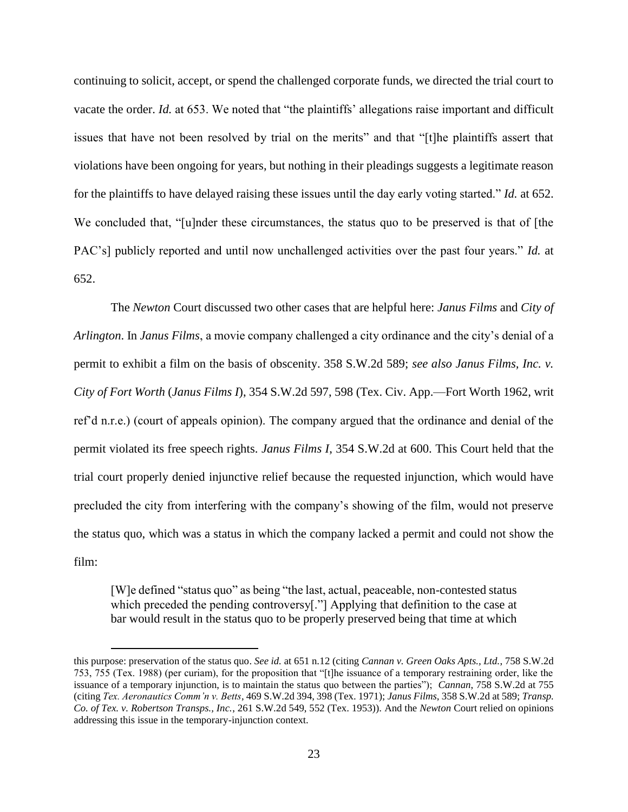continuing to solicit, accept, or spend the challenged corporate funds, we directed the trial court to vacate the order. *Id.* at 653. We noted that "the plaintiffs' allegations raise important and difficult issues that have not been resolved by trial on the merits" and that "[t]he plaintiffs assert that violations have been ongoing for years, but nothing in their pleadings suggests a legitimate reason for the plaintiffs to have delayed raising these issues until the day early voting started." *Id.* at 652. We concluded that, "[u]nder these circumstances, the status quo to be preserved is that of [the PAC's] publicly reported and until now unchallenged activities over the past four years." *Id.* at 652.

The *Newton* Court discussed two other cases that are helpful here: *Janus Films* and *City of Arlington*. In *Janus Films*, a movie company challenged a city ordinance and the city's denial of a permit to exhibit a film on the basis of obscenity. 358 S.W.2d 589; *see also Janus Films, Inc. v. City of Fort Worth* (*Janus Films I*), 354 S.W.2d 597, 598 (Tex. Civ. App.—Fort Worth 1962, writ ref'd n.r.e.) (court of appeals opinion). The company argued that the ordinance and denial of the permit violated its free speech rights. *Janus Films I*, 354 S.W.2d at 600. This Court held that the trial court properly denied injunctive relief because the requested injunction, which would have precluded the city from interfering with the company's showing of the film, would not preserve the status quo, which was a status in which the company lacked a permit and could not show the film:

[W]e defined "status quo" as being "the last, actual, peaceable, non-contested status which preceded the pending controversy<sup>[."]</sup> Applying that definition to the case at bar would result in the status quo to be properly preserved being that time at which

 $\overline{a}$ 

this purpose: preservation of the status quo. *See id.* at 651 n.12 (citing *Cannan v. Green Oaks Apts., Ltd.*, 758 S.W.2d 753, 755 (Tex. 1988) (per curiam), for the proposition that "[t]he issuance of a temporary restraining order, like the issuance of a temporary injunction, is to maintain the status quo between the parties"); *Cannan*, 758 S.W.2d at 755 (citing *Tex. Aeronautics Comm'n v. Betts*, 469 S.W.2d 394, 398 (Tex. 1971); *Janus Films*, 358 S.W.2d at 589; *Transp. Co. of Tex. v. Robertson Transps., Inc.*, 261 S.W.2d 549, 552 (Tex. 1953)). And the *Newton* Court relied on opinions addressing this issue in the temporary-injunction context.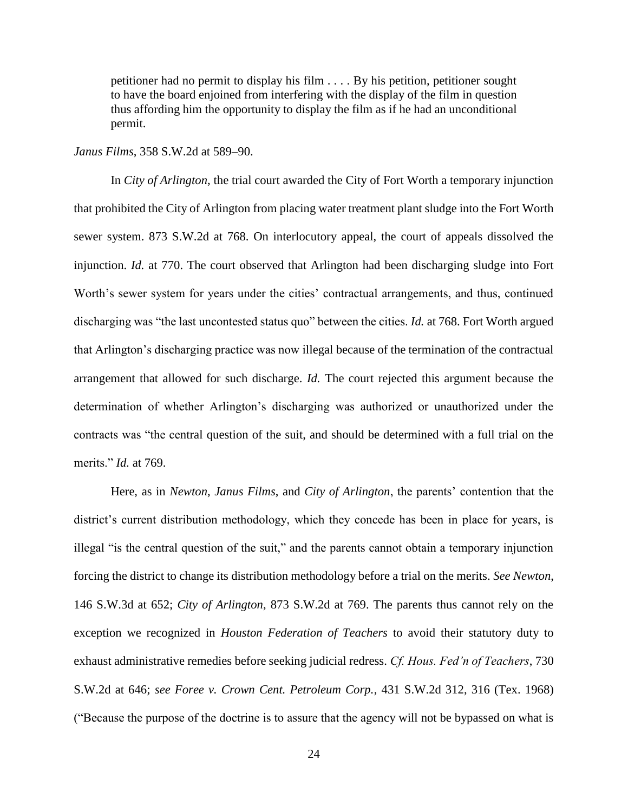petitioner had no permit to display his film . . . . By his petition, petitioner sought to have the board enjoined from interfering with the display of the film in question thus affording him the opportunity to display the film as if he had an unconditional permit.

*Janus Films*, 358 S.W.2d at 589–90.

In *City of Arlington*, the trial court awarded the City of Fort Worth a temporary injunction that prohibited the City of Arlington from placing water treatment plant sludge into the Fort Worth sewer system. 873 S.W.2d at 768. On interlocutory appeal, the court of appeals dissolved the injunction. *Id.* at 770. The court observed that Arlington had been discharging sludge into Fort Worth's sewer system for years under the cities' contractual arrangements, and thus, continued discharging was "the last uncontested status quo" between the cities. *Id.* at 768. Fort Worth argued that Arlington's discharging practice was now illegal because of the termination of the contractual arrangement that allowed for such discharge. *Id.* The court rejected this argument because the determination of whether Arlington's discharging was authorized or unauthorized under the contracts was "the central question of the suit, and should be determined with a full trial on the merits." *Id.* at 769.

Here, as in *Newton*, *Janus Films*, and *City of Arlington*, the parents' contention that the district's current distribution methodology, which they concede has been in place for years, is illegal "is the central question of the suit," and the parents cannot obtain a temporary injunction forcing the district to change its distribution methodology before a trial on the merits. *See Newton*, 146 S.W.3d at 652; *City of Arlington*, 873 S.W.2d at 769. The parents thus cannot rely on the exception we recognized in *Houston Federation of Teachers* to avoid their statutory duty to exhaust administrative remedies before seeking judicial redress. *Cf. Hous. Fed'n of Teachers*, 730 S.W.2d at 646; *see Foree v. Crown Cent. Petroleum Corp.*, 431 S.W.2d 312, 316 (Tex. 1968) ("Because the purpose of the doctrine is to assure that the agency will not be bypassed on what is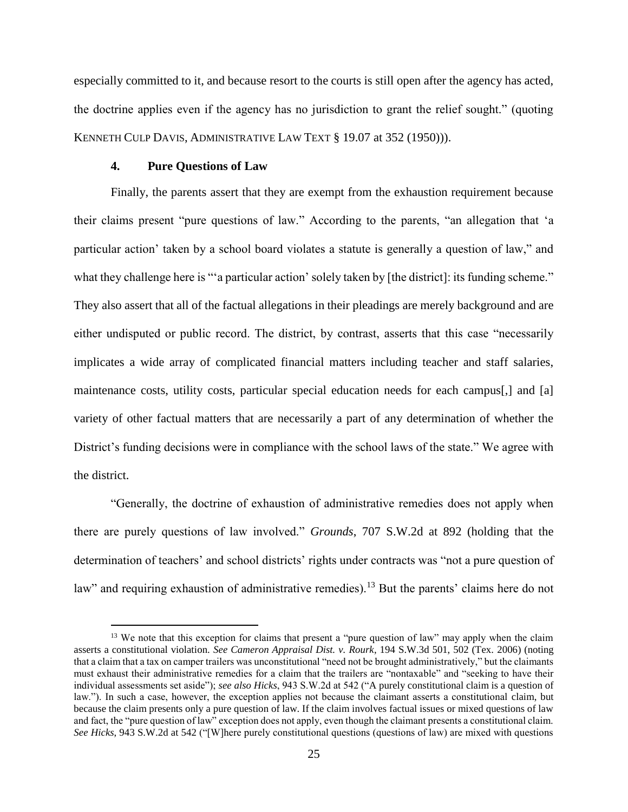especially committed to it, and because resort to the courts is still open after the agency has acted, the doctrine applies even if the agency has no jurisdiction to grant the relief sought." (quoting KENNETH CULP DAVIS, ADMINISTRATIVE LAW TEXT § 19.07 at 352 (1950))).

#### **4. Pure Questions of Law**

 $\overline{a}$ 

Finally, the parents assert that they are exempt from the exhaustion requirement because their claims present "pure questions of law." According to the parents, "an allegation that 'a particular action' taken by a school board violates a statute is generally a question of law," and what they challenge here is ""a particular action' solely taken by [the district]: its funding scheme." They also assert that all of the factual allegations in their pleadings are merely background and are either undisputed or public record. The district, by contrast, asserts that this case "necessarily implicates a wide array of complicated financial matters including teacher and staff salaries, maintenance costs, utility costs, particular special education needs for each campus[,] and [a] variety of other factual matters that are necessarily a part of any determination of whether the District's funding decisions were in compliance with the school laws of the state." We agree with the district.

"Generally, the doctrine of exhaustion of administrative remedies does not apply when there are purely questions of law involved." *Grounds*, 707 S.W.2d at 892 (holding that the determination of teachers' and school districts' rights under contracts was "not a pure question of law" and requiring exhaustion of administrative remedies).<sup>13</sup> But the parents' claims here do not

<sup>&</sup>lt;sup>13</sup> We note that this exception for claims that present a "pure question of law" may apply when the claim asserts a constitutional violation. *See Cameron Appraisal Dist. v. Rourk*, 194 S.W.3d 501, 502 (Tex. 2006) (noting that a claim that a tax on camper trailers was unconstitutional "need not be brought administratively," but the claimants must exhaust their administrative remedies for a claim that the trailers are "nontaxable" and "seeking to have their individual assessments set aside"); *see also Hicks*, 943 S.W.2d at 542 ("A purely constitutional claim is a question of law."). In such a case, however, the exception applies not because the claimant asserts a constitutional claim, but because the claim presents only a pure question of law. If the claim involves factual issues or mixed questions of law and fact, the "pure question of law" exception does not apply, even though the claimant presents a constitutional claim. *See Hicks*, 943 S.W.2d at 542 ("[W]here purely constitutional questions (questions of law) are mixed with questions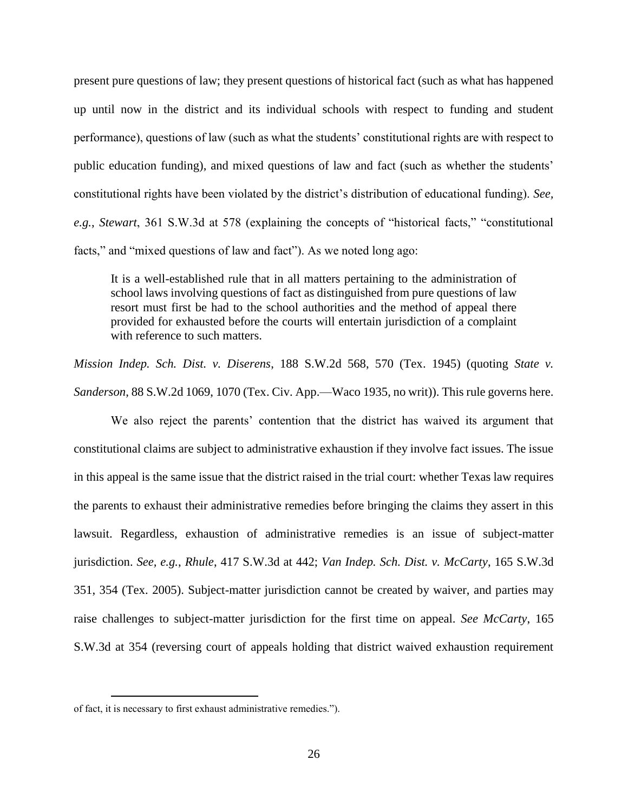present pure questions of law; they present questions of historical fact (such as what has happened up until now in the district and its individual schools with respect to funding and student performance), questions of law (such as what the students' constitutional rights are with respect to public education funding), and mixed questions of law and fact (such as whether the students' constitutional rights have been violated by the district's distribution of educational funding). *See, e.g.*, *Stewart*, 361 S.W.3d at 578 (explaining the concepts of "historical facts," "constitutional facts," and "mixed questions of law and fact"). As we noted long ago:

It is a well-established rule that in all matters pertaining to the administration of school laws involving questions of fact as distinguished from pure questions of law resort must first be had to the school authorities and the method of appeal there provided for exhausted before the courts will entertain jurisdiction of a complaint with reference to such matters.

*Mission Indep. Sch. Dist. v. Diserens*, 188 S.W.2d 568, 570 (Tex. 1945) (quoting *State v. Sanderson*, 88 S.W.2d 1069, 1070 (Tex. Civ. App.—Waco 1935, no writ)). This rule governs here.

We also reject the parents' contention that the district has waived its argument that constitutional claims are subject to administrative exhaustion if they involve fact issues. The issue in this appeal is the same issue that the district raised in the trial court: whether Texas law requires the parents to exhaust their administrative remedies before bringing the claims they assert in this lawsuit. Regardless, exhaustion of administrative remedies is an issue of subject-matter jurisdiction. *See, e.g.*, *Rhule*, 417 S.W.3d at 442; *Van Indep. Sch. Dist. v. McCarty*, 165 S.W.3d 351, 354 (Tex. 2005). Subject-matter jurisdiction cannot be created by waiver, and parties may raise challenges to subject-matter jurisdiction for the first time on appeal. *See McCarty*, 165 S.W.3d at 354 (reversing court of appeals holding that district waived exhaustion requirement

 $\overline{a}$ 

of fact, it is necessary to first exhaust administrative remedies.").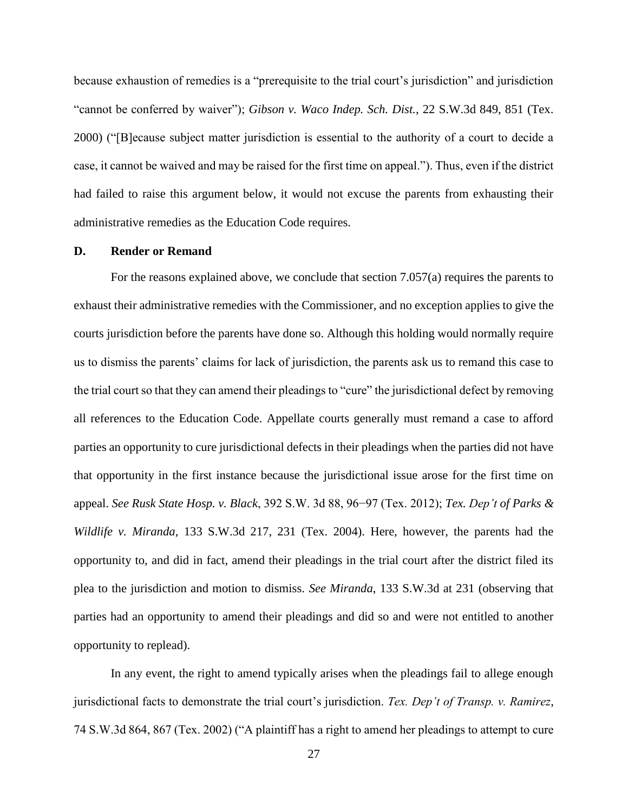because exhaustion of remedies is a "prerequisite to the trial court's jurisdiction" and jurisdiction "cannot be conferred by waiver"); *Gibson v. Waco Indep. Sch. Dist.*, 22 S.W.3d 849, 851 (Tex. 2000) ("[B]ecause subject matter jurisdiction is essential to the authority of a court to decide a case, it cannot be waived and may be raised for the first time on appeal."). Thus, even if the district had failed to raise this argument below, it would not excuse the parents from exhausting their administrative remedies as the Education Code requires.

#### **D. Render or Remand**

For the reasons explained above, we conclude that section 7.057(a) requires the parents to exhaust their administrative remedies with the Commissioner, and no exception applies to give the courts jurisdiction before the parents have done so. Although this holding would normally require us to dismiss the parents' claims for lack of jurisdiction, the parents ask us to remand this case to the trial court so that they can amend their pleadings to "cure" the jurisdictional defect by removing all references to the Education Code. Appellate courts generally must remand a case to afford parties an opportunity to cure jurisdictional defects in their pleadings when the parties did not have that opportunity in the first instance because the jurisdictional issue arose for the first time on appeal. *See Rusk State Hosp. v. Black*, 392 S.W. 3d 88, 96−97 (Tex. 2012); *Tex. Dep't of Parks & Wildlife v. Miranda*, 133 S.W.3d 217, 231 (Tex. 2004). Here, however, the parents had the opportunity to, and did in fact, amend their pleadings in the trial court after the district filed its plea to the jurisdiction and motion to dismiss. *See Miranda*, 133 S.W.3d at 231 (observing that parties had an opportunity to amend their pleadings and did so and were not entitled to another opportunity to replead).

In any event, the right to amend typically arises when the pleadings fail to allege enough jurisdictional facts to demonstrate the trial court's jurisdiction. *Tex. Dep't of Transp. v. Ramirez*, 74 S.W.3d 864, 867 (Tex. 2002) ("A plaintiff has a right to amend her pleadings to attempt to cure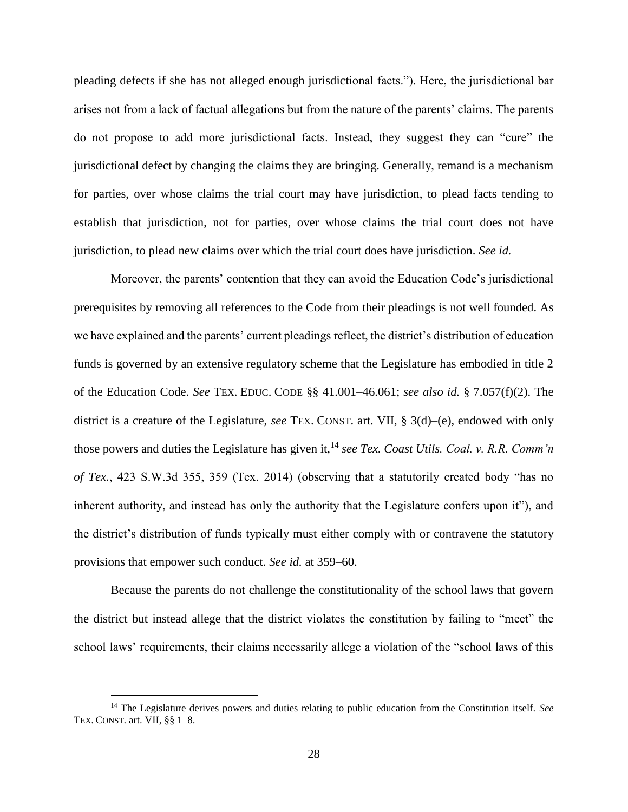pleading defects if she has not alleged enough jurisdictional facts."). Here, the jurisdictional bar arises not from a lack of factual allegations but from the nature of the parents' claims. The parents do not propose to add more jurisdictional facts. Instead, they suggest they can "cure" the jurisdictional defect by changing the claims they are bringing. Generally, remand is a mechanism for parties, over whose claims the trial court may have jurisdiction, to plead facts tending to establish that jurisdiction, not for parties, over whose claims the trial court does not have jurisdiction, to plead new claims over which the trial court does have jurisdiction. *See id.* 

Moreover, the parents' contention that they can avoid the Education Code's jurisdictional prerequisites by removing all references to the Code from their pleadings is not well founded. As we have explained and the parents' current pleadings reflect, the district's distribution of education funds is governed by an extensive regulatory scheme that the Legislature has embodied in title 2 of the Education Code. *See* TEX. EDUC. CODE §§ 41.001–46.061; *see also id.* § 7.057(f)(2). The district is a creature of the Legislature, *see* TEX. CONST. art. VII, § 3(d)–(e), endowed with only those powers and duties the Legislature has given it,<sup>14</sup> see Tex. Coast Utils. Coal. v. R.R. Comm'n *of Tex.*, 423 S.W.3d 355, 359 (Tex. 2014) (observing that a statutorily created body "has no inherent authority, and instead has only the authority that the Legislature confers upon it"), and the district's distribution of funds typically must either comply with or contravene the statutory provisions that empower such conduct. *See id.* at 359–60.

Because the parents do not challenge the constitutionality of the school laws that govern the district but instead allege that the district violates the constitution by failing to "meet" the school laws' requirements, their claims necessarily allege a violation of the "school laws of this

 $\ddot{\phantom{a}}$ 

<sup>14</sup> The Legislature derives powers and duties relating to public education from the Constitution itself. *See*  TEX. CONST. art. VII, §§ 1–8.